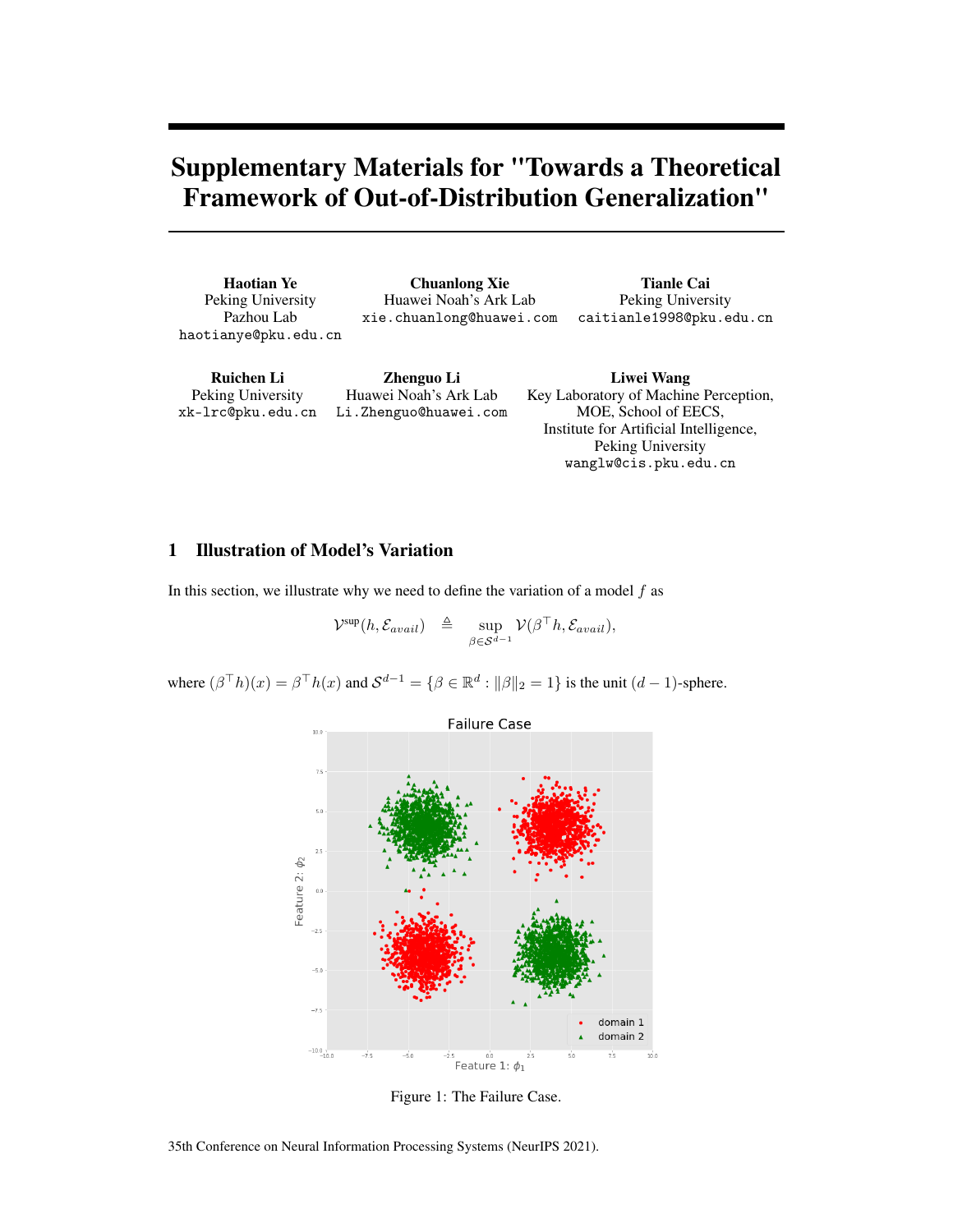# Supplementary Materials for "Towards a Theoretical Framework of Out-of-Distribution Generalization"

Haotian Ye Peking University Pazhou Lab haotianye@pku.edu.cn

Chuanlong Xie Huawei Noah's Ark Lab xie.chuanlong@huawei.com

Tianle Cai Peking University caitianle1998@pku.edu.cn

Ruichen Li Peking University xk-lrc@pku.edu.cn

Zhenguo Li Huawei Noah's Ark Lab Li.Zhenguo@huawei.com

Liwei Wang Key Laboratory of Machine Perception, MOE, School of EECS, Institute for Artificial Intelligence, Peking University wanglw@cis.pku.edu.cn

# 1 Illustration of Model's Variation

In this section, we illustrate why we need to define the variation of a model  $f$  as

$$
\mathcal{V}^{\text{sup}}(h, \mathcal{E}_{avail}) \triangleq \sup_{\beta \in \mathcal{S}^{d-1}} \mathcal{V}(\beta^{\top}h, \mathcal{E}_{avail}),
$$

where  $(\beta^{\top}h)(x) = \beta^{\top}h(x)$  and  $\mathcal{S}^{d-1} = \{\beta \in \mathbb{R}^d : ||\beta||_2 = 1\}$  is the unit  $(d-1)$ -sphere.



<span id="page-0-0"></span>Figure 1: The Failure Case.

35th Conference on Neural Information Processing Systems (NeurIPS 2021).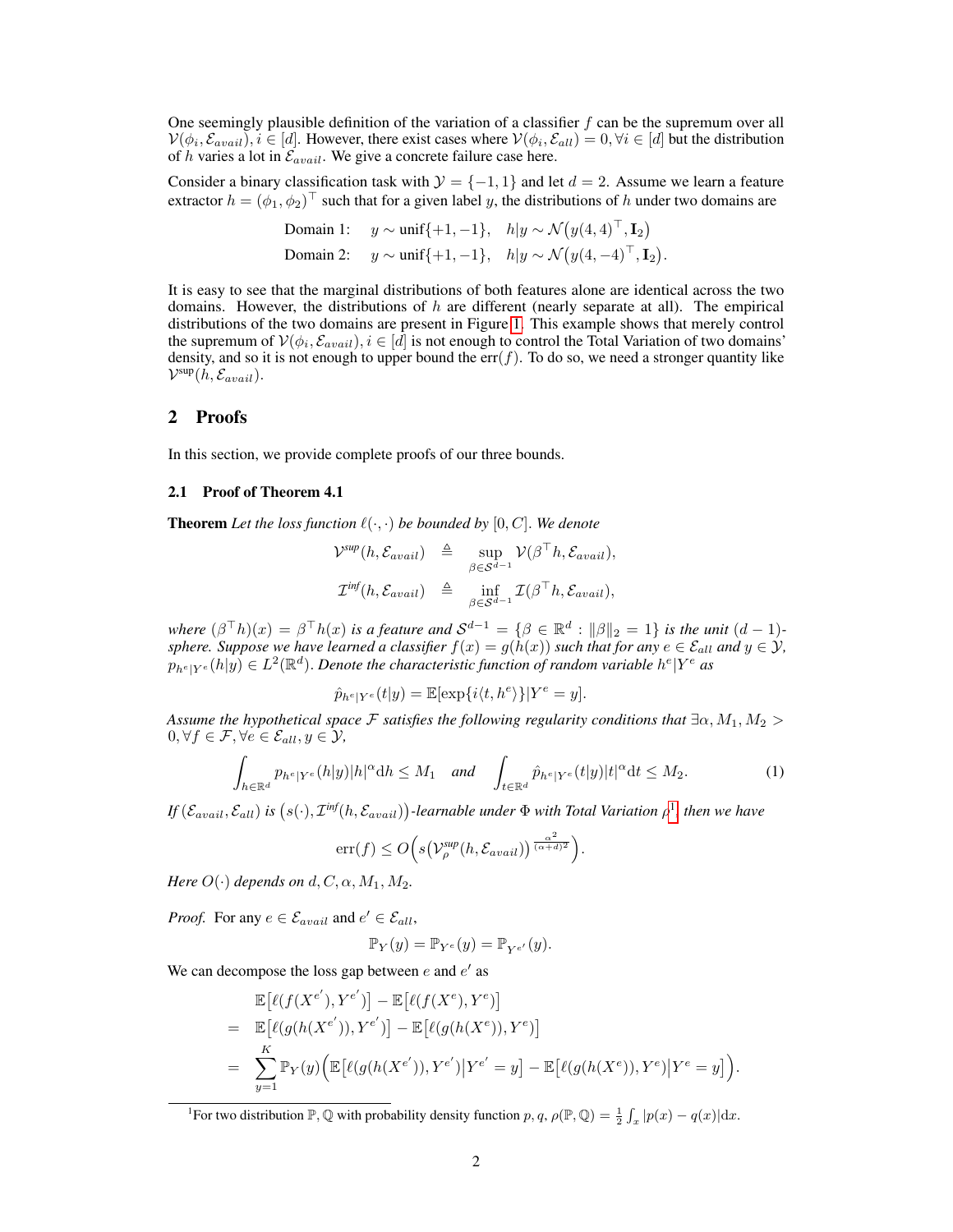One seemingly plausible definition of the variation of a classifier  $f$  can be the supremum over all  $V(\phi_i, \mathcal{E}_{avail}), i \in [d]$ . However, there exist cases where  $V(\phi_i, \mathcal{E}_{all}) = 0, \forall i \in [d]$  but the distribution of h varies a lot in  $\mathcal{E}_{avail}$ . We give a concrete failure case here.

Consider a binary classification task with  $\mathcal{Y} = \{-1, 1\}$  and let  $d = 2$ . Assume we learn a feature extractor  $h = (\phi_1, \phi_2)^{\top}$  such that for a given label y, the distributions of h under two domains are

Domain 1: 
$$
y \sim \text{unif}\{+1, -1\}
$$
,  $h|y \sim \mathcal{N}(y(4, 4)^{\top}, \mathbf{I}_2)$   
Domain 2:  $y \sim \text{unif}\{+1, -1\}$ ,  $h|y \sim \mathcal{N}(y(4, -4)^{\top}, \mathbf{I}_2)$ .

It is easy to see that the marginal distributions of both features alone are identical across the two domains. However, the distributions of  $h$  are different (nearly separate at all). The empirical distributions of the two domains are present in Figure [1.](#page-0-0) This example shows that merely control the supremum of  $V(\phi_i, \mathcal{E}_{avail}), i \in [d]$  is not enough to control the Total Variation of two domains' density, and so it is not enough to upper bound the  $err(f)$ . To do so, we need a stronger quantity like  $\mathcal{V}^{\text{sup}}(\hat{h}, \mathcal{E}_{avail}).$ 

## 2 Proofs

In this section, we provide complete proofs of our three bounds.

#### 2.1 Proof of Theorem 4.1

**Theorem** Let the loss function  $\ell(\cdot, \cdot)$  be bounded by  $[0, C]$ . We denote

$$
\mathcal{V}^{sup}(h, \mathcal{E}_{avail}) \triangleq \sup_{\beta \in \mathcal{S}^{d-1}} \mathcal{V}(\beta^{\top}h, \mathcal{E}_{avail}),
$$
  

$$
\mathcal{I}^{inf}(h, \mathcal{E}_{avail}) \triangleq \inf_{\beta \in \mathcal{S}^{d-1}} \mathcal{I}(\beta^{\top}h, \mathcal{E}_{avail}),
$$

where  $(\beta^{\top}h)(x) = \beta^{\top}h(x)$  is a feature and  $\mathcal{S}^{d-1} = \{\beta \in \mathbb{R}^d : ||\beta||_2 = 1\}$  is the unit  $(d-1)$ *sphere. Suppose we have learned a classifier*  $f(x) = g(h(x))$  *such that for any*  $e \in \mathcal{E}_{all}$  *and*  $y \in \mathcal{Y}$ *,*  $p_{h^e|Y^e}(h|y) \in L^2(\mathbb{R}^d)$ . Denote the characteristic function of random variable  $h^e|Y^e$  as

$$
\hat{p}_{h^e|Y^e}(t|y) = \mathbb{E}[\exp{i\langle t, h^e \rangle}]|Y^e = y].
$$

*Assume the hypothetical space* F *satisfies the following regularity conditions that*  $\exists \alpha, M_1, M_2 >$  $0, \forall f \in \mathcal{F}, \forall e \in \mathcal{E}_{all}, y \in \mathcal{Y},$ 

<span id="page-1-1"></span>
$$
\int_{h\in\mathbb{R}^d} p_{h^e|Y^e}(h|y)|h|^{\alpha}\mathrm{d}h \le M_1 \quad \text{and} \quad \int_{t\in\mathbb{R}^d} \hat{p}_{h^e|Y^e}(t|y)|t|^{\alpha}\mathrm{d}t \le M_2. \tag{1}
$$

 $If (\mathcal{E}_{avail}, \mathcal{E}_{all})$  is  $(s(\cdot), \mathcal{I}^{inf}(h, \mathcal{E}_{avail}))$ -learnable under  $\Phi$  with Total Variation  $\rho^1$  $\rho^1$ , then we have

$$
\mathrm{err}(f) \le O\Big(s\big(\mathcal{V}_{\rho}^{\mathrm{sup}}(h,\mathcal{E}_{avail})\big)^{\frac{\alpha^2}{(\alpha+d)^2}}\Big).
$$

*Here*  $O(\cdot)$  *depends on*  $d, C, \alpha, M_1, M_2$ .

*Proof.* For any  $e \in \mathcal{E}_{avail}$  and  $e' \in \mathcal{E}_{all}$ ,

$$
\mathbb{P}_Y(y) = \mathbb{P}_{Y^e}(y) = \mathbb{P}_{Y^{e'}}(y).
$$

We can decompose the loss gap between  $e$  and  $e'$  as

$$
\mathbb{E}[\ell(f(X^{e'}), Y^{e'})] - \mathbb{E}[\ell(f(X^{e}), Y^{e})]
$$
\n
$$
= \mathbb{E}[\ell(g(h(X^{e'})), Y^{e'})] - \mathbb{E}[\ell(g(h(X^{e})), Y^{e})]
$$
\n
$$
= \sum_{y=1}^{K} \mathbb{P}_{Y}(y) \Big( \mathbb{E}[\ell(g(h(X^{e'})), Y^{e'}) | Y^{e'} = y] - \mathbb{E}[\ell(g(h(X^{e})), Y^{e}) | Y^{e} = y] \Big).
$$

<span id="page-1-0"></span><sup>1</sup>For two distribution  $\mathbb{P}, \mathbb{Q}$  with probability density function  $p, q, \rho(\mathbb{P}, \mathbb{Q}) = \frac{1}{2} \int_x |p(x) - q(x)| dx$ .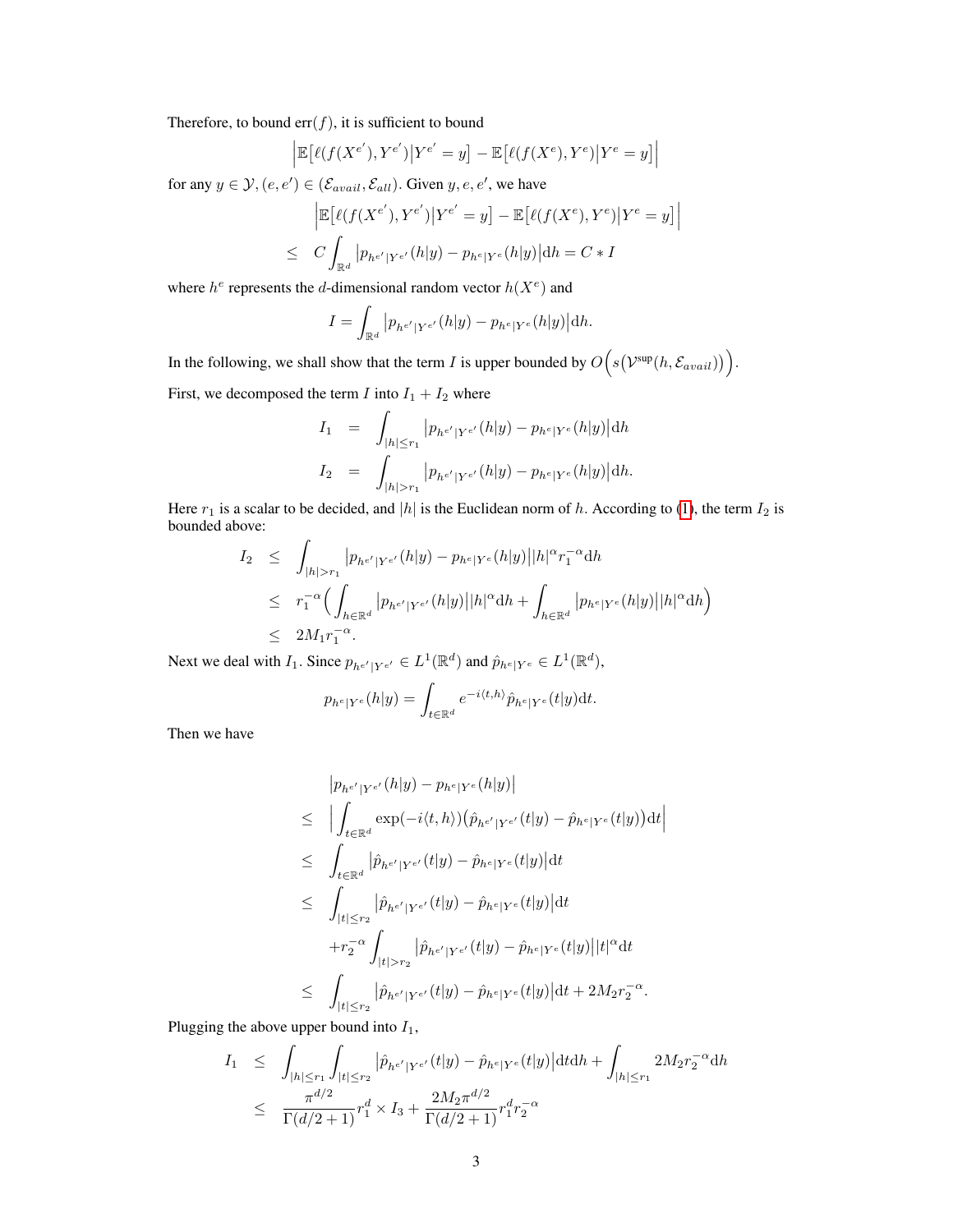Therefore, to bound  $err(f)$ , it is sufficient to bound

$$
\left| \mathbb{E} \left[ \ell(f(X^{e'}), Y^{e'}) \middle| Y^{e'} = y \right] - \mathbb{E} \left[ \ell(f(X^{e}), Y^{e}) \middle| Y^{e} = y \right] \right|
$$

for any  $y \in \mathcal{Y}, (e, e') \in (\mathcal{E}_{avail}, \mathcal{E}_{all})$ . Given  $y, e, e'$ , we have

$$
\left| \mathbb{E} \left[ \ell(f(X^{e'}), Y^{e'}) \big| Y^{e'} = y \right] - \mathbb{E} \left[ \ell(f(X^{e}), Y^{e}) \big| Y^{e} = y \right] \right|
$$
  

$$
\leq C \int_{\mathbb{R}^d} |p_{h^{e'}|Y^{e'}}(h|y) - p_{h^{e}|Y^{e}}(h|y)| dh = C * I
$$

where  $h^e$  represents the d-dimensional random vector  $h(X^e)$  and

$$
I = \int_{\mathbb{R}^d} |p_{h^{e'}|Y^{e'}}(h|y) - p_{h^e|Y^e}(h|y)| \mathrm{d}h.
$$

In the following, we shall show that the term *I* is upper bounded by  $O(s(\mathcal{V}^{\text{sup}}(h, \mathcal{E}_{avail}))$ . First, we decomposed the term I into  $I_1 + I_2$  where

$$
I_1 = \int_{|h| \le r_1} |p_{h^{e'}|Y^{e'}}(h|y) - p_{h^e|Y^e}(h|y)| \mathrm{d}h
$$

$$
I_2 = \int_{|h|>r_1} |p_{h^{e'}|Y^{e'}}(h|y) - p_{h^e|Y^e}(h|y)| dh.
$$

Here  $r_1$  is a scalar to be decided, and |h| is the Euclidean norm of h. According to [\(1\)](#page-1-1), the term  $I_2$  is bounded above:

$$
I_2 \leq \int_{|h|>r_1} |p_{h^{e'}|Y^{e'}}(h|y) - p_{h^e|Y^e}(h|y)||h|^{\alpha} r_1^{-\alpha} dh
$$
  
\n
$$
\leq r_1^{-\alpha} \Big( \int_{h \in \mathbb{R}^d} |p_{h^{e'}|Y^{e'}}(h|y)||h|^{\alpha} dh + \int_{h \in \mathbb{R}^d} |p_{h^e|Y^e}(h|y)||h|^{\alpha} dh \Big)
$$
  
\n
$$
\leq 2M_1 r_1^{-\alpha}.
$$

Next we deal with  $I_1$ . Since  $p_{h^{e'}|Y^{e'}} \in L^1(\mathbb{R}^d)$  and  $\hat{p}_{h^e|Y^e} \in L^1(\mathbb{R}^d)$ ,

$$
p_{h^e|Y^e}(h|y) = \int_{t \in \mathbb{R}^d} e^{-i\langle t, h \rangle} \hat{p}_{h^e|Y^e}(t|y) dt.
$$

Then we have

$$
|p_{h^{e'}|Y^{e'}}(h|y) - p_{h^{e}|Y^{e}}(h|y)|
$$
  
\n
$$
\leq \left| \int_{t \in \mathbb{R}^d} \exp(-i\langle t, h \rangle) (\hat{p}_{h^{e'}|Y^{e'}}(t|y) - \hat{p}_{h^{e}|Y^{e}}(t|y)) dt \right|
$$
  
\n
$$
\leq \int_{t \in \mathbb{R}^d} |\hat{p}_{h^{e'}|Y^{e'}}(t|y) - \hat{p}_{h^{e}|Y^{e}}(t|y)| dt
$$
  
\n
$$
\leq \int_{|t| \leq r_2} |\hat{p}_{h^{e'}|Y^{e'}}(t|y) - \hat{p}_{h^{e}|Y^{e}}(t|y)| dt
$$
  
\n
$$
+ r_2^{-\alpha} \int_{|t| > r_2} |\hat{p}_{h^{e'}|Y^{e'}}(t|y) - \hat{p}_{h^{e}|Y^{e}}(t|y)| |t|^{\alpha} dt
$$
  
\n
$$
\leq \int_{|t| \leq r_2} |\hat{p}_{h^{e'}|Y^{e'}}(t|y) - \hat{p}_{h^{e}|Y^{e}}(t|y)| dt + 2M_2 r_2^{-\alpha}.
$$

Plugging the above upper bound into  $I_1$ ,

$$
I_1 \leq \int_{|h| \leq r_1} \int_{|t| \leq r_2} |\hat{p}_{h^{e'}|Y^{e'}}(t|y) - \hat{p}_{h^{e}|Y^{e}}(t|y)| dt dh + \int_{|h| \leq r_1} 2M_2 r_2^{-\alpha} dh
$$
  

$$
\leq \frac{\pi^{d/2}}{\Gamma(d/2+1)} r_1^d \times I_3 + \frac{2M_2 \pi^{d/2}}{\Gamma(d/2+1)} r_1^d r_2^{-\alpha}
$$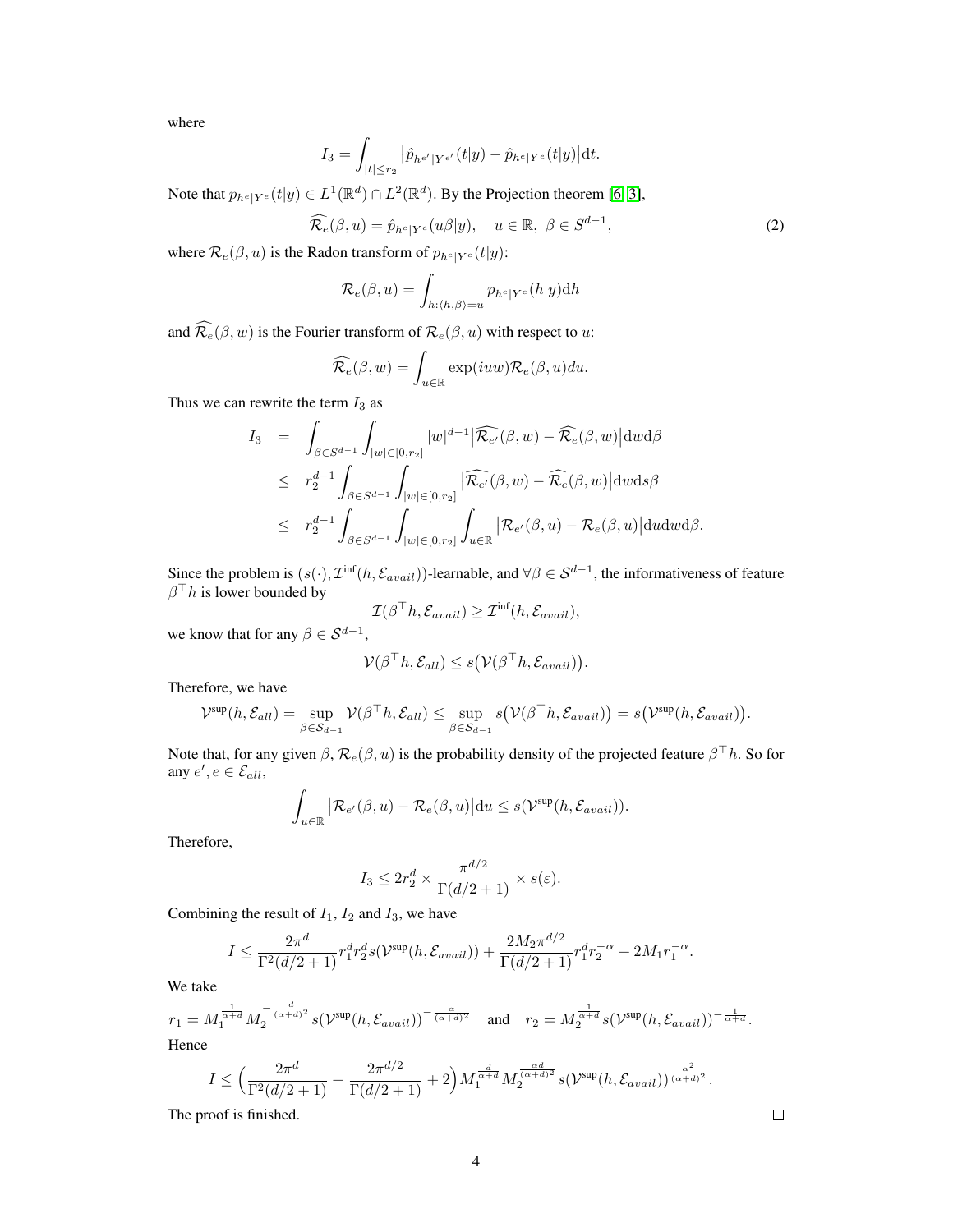where

$$
I_3 = \int_{|t| \le r_2} |\hat{p}_{h^{e'}|Y^{e'}}(t|y) - \hat{p}_{h^{e}|Y^{e}}(t|y)| \mathrm{d}t.
$$

Note that  $p_{h^e|Y^e}(t|y) \in L^1(\mathbb{R}^d) \cap L^2(\mathbb{R}^d)$ . By the Projection theorem [\[6,](#page-9-0) [3\]](#page-9-1),

$$
\widehat{\mathcal{R}_e}(\beta, u) = \widehat{p}_{h^e|Y^e}(u\beta|y), \quad u \in \mathbb{R}, \ \beta \in S^{d-1}, \tag{2}
$$

where  $\mathcal{R}_e(\beta, u)$  is the Radon transform of  $p_{h^e|Y^e}(t|y)$ :

$$
\mathcal{R}_e(\beta, u) = \int_{h:\langle h, \beta \rangle = u} p_{h^e|Y^e}(h|y) dh
$$

and  $\widehat{\mathcal{R}_{e}}(\beta, w)$  is the Fourier transform of  $\mathcal{R}_{e}(\beta, u)$  with respect to u:

$$
\widehat{\mathcal{R}_e}(\beta, w) = \int_{u \in \mathbb{R}} \exp(iuw) \mathcal{R}_e(\beta, u) du.
$$

Thus we can rewrite the term  $I_3$  as

$$
I_3 = \int_{\beta \in S^{d-1}} \int_{|w| \in [0,r_2]} |w|^{d-1} |\widehat{\mathcal{R}_{e'}}(\beta, w) - \widehat{\mathcal{R}_e}(\beta, w)| \, dw \, d\beta
$$
  
\n
$$
\leq r_2^{d-1} \int_{\beta \in S^{d-1}} \int_{|w| \in [0,r_2]} |\widehat{\mathcal{R}_{e'}}(\beta, w) - \widehat{\mathcal{R}_e}(\beta, w)| \, dw \, ds \beta
$$
  
\n
$$
\leq r_2^{d-1} \int_{\beta \in S^{d-1}} \int_{|w| \in [0,r_2]} \int_{u \in \mathbb{R}} |\mathcal{R}_{e'}(\beta, u) - \mathcal{R}_e(\beta, u)| \, du \, dw \, d\beta.
$$

Since the problem is  $(s(\cdot), \mathcal{I}^{\text{inf}}(h, \mathcal{E}_{avail}))$ -learnable, and  $\forall \beta \in \mathcal{S}^{d-1}$ , the informativeness of feature  $\beta^{\top}h$  is lower bounded by

$$
\mathcal{I}(\beta^{\top}h, \mathcal{E}_{avail}) \geq \mathcal{I}^{\text{inf}}(h, \mathcal{E}_{avail}),
$$

we know that for any  $\beta \in S^{d-1}$ ,

$$
\mathcal{V}(\beta^{\top}h, \mathcal{E}_{all}) \leq s(\mathcal{V}(\beta^{\top}h, \mathcal{E}_{avail})).
$$

Therefore, we have

$$
\mathcal{V}^{\text{sup}}(h, \mathcal{E}_{all}) = \sup_{\beta \in \mathcal{S}_{d-1}} \mathcal{V}(\beta^{\top}h, \mathcal{E}_{all}) \le \sup_{\beta \in \mathcal{S}_{d-1}} s(\mathcal{V}(\beta^{\top}h, \mathcal{E}_{avail})) = s(\mathcal{V}^{\text{sup}}(h, \mathcal{E}_{avail})).
$$

Note that, for any given  $\beta$ ,  $\mathcal{R}_e(\beta, u)$  is the probability density of the projected feature  $\beta^\top h$ . So for any  $e', e \in \mathcal{E}_{all}$ ,

$$
\int_{u \in \mathbb{R}} \left| \mathcal{R}_{e'}(\beta, u) - \mathcal{R}_{e}(\beta, u) \right| \mathrm{d}u \le s(\mathcal{V}^{\text{sup}}(h, \mathcal{E}_{avail})).
$$

Therefore,

$$
I_3 \le 2r_2^d \times \frac{\pi^{d/2}}{\Gamma(d/2+1)} \times s(\varepsilon).
$$

Combining the result of  $I_1$ ,  $I_2$  and  $I_3$ , we have

$$
I \leq \frac{2\pi^d}{\Gamma^2(d/2+1)} r_1^d r_2^d s(\mathcal{V}^{\text{sup}}(h, \mathcal{E}_{avail})) + \frac{2M_2\pi^{d/2}}{\Gamma(d/2+1)} r_1^d r_2^{-\alpha} + 2M_1 r_1^{-\alpha}.
$$

We take

$$
r_1 = M_1^{\frac{1}{\alpha+d}} M_2^{-\frac{d}{(\alpha+d)^2}} s(\mathcal{V}^{\text{sup}}(h, \mathcal{E}_{avail}))^{-\frac{\alpha}{(\alpha+d)^2}} \quad \text{and} \quad r_2 = M_2^{\frac{1}{\alpha+d}} s(\mathcal{V}^{\text{sup}}(h, \mathcal{E}_{avail}))^{-\frac{1}{\alpha+d}}.
$$
  
Hence

Hence

$$
I \leq \left(\frac{2\pi^d}{\Gamma^2(d/2+1)} + \frac{2\pi^{d/2}}{\Gamma(d/2+1)} + 2\right)M_1^{\frac{d}{\alpha+d}}M_2^{\frac{\alpha d}{(\alpha+d)^2}}s(\mathcal{V}^{\text{sup}}(h,\mathcal{E}_{avail}))^{\frac{\alpha^2}{(\alpha+d)^2}}.
$$

4

The proof is finished.

 $\Box$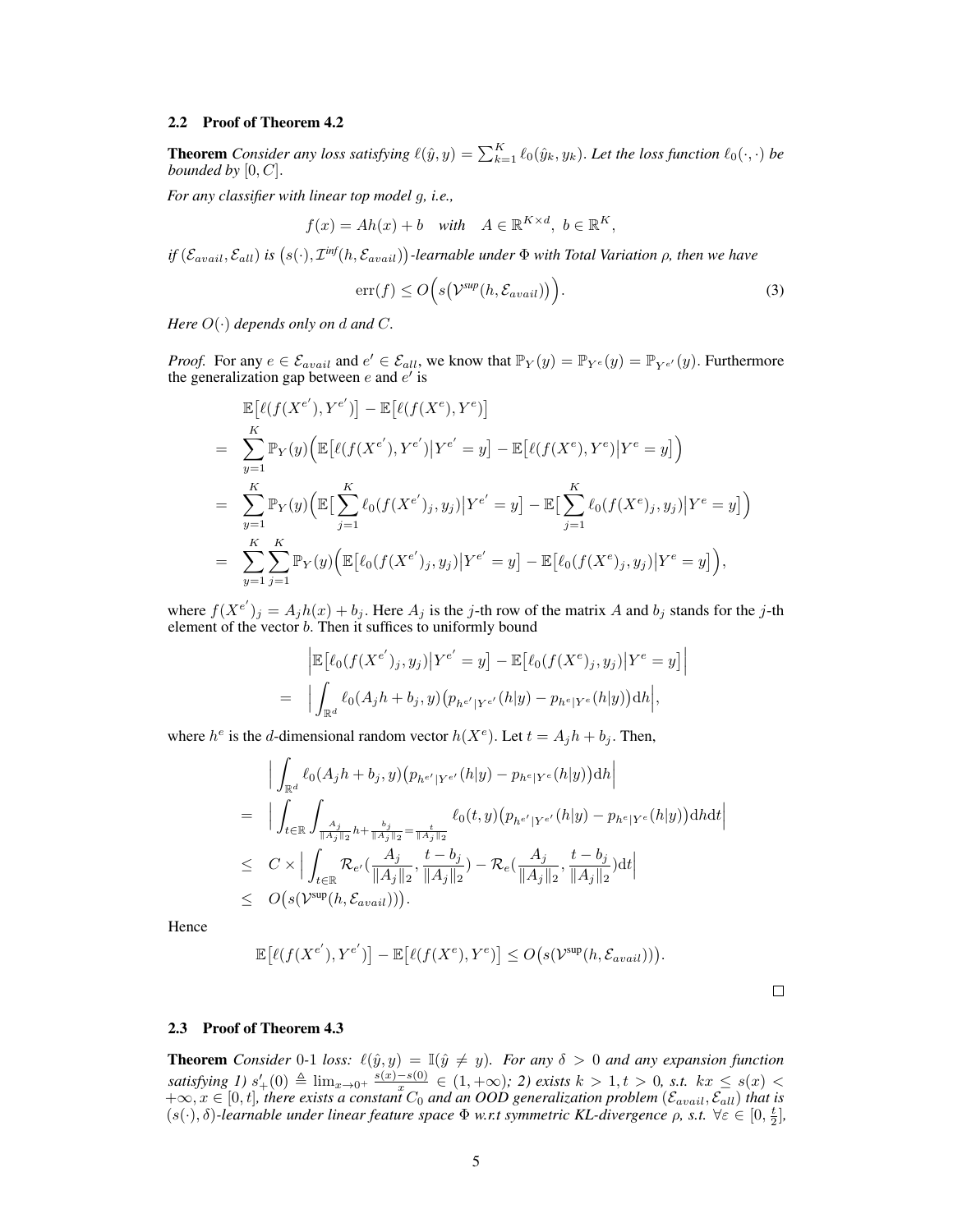#### 2.2 Proof of Theorem 4.2

**Theorem** *Consider any loss satisfying*  $\ell(\hat{y}, y) = \sum_{k=1}^{K} \ell_0(\hat{y}_k, y_k)$ . Let the loss function  $\ell_0(\cdot, \cdot)$  be *bounded by*  $[0, C]$ *.* 

*For any classifier with linear top model* g*, i.e.,*

$$
f(x) = Ah(x) + b \quad with \quad A \in \mathbb{R}^{K \times d}, \ b \in \mathbb{R}^K,
$$

 $df(\mathcal{E}_{avail}, \mathcal{E}_{all})$  is  $(s(\cdot), \mathcal{I}^{inf}(h, \mathcal{E}_{avail}))$ -learnable under  $\Phi$  with Total Variation  $\rho$ , then we have

$$
\operatorname{err}(f) \le O\Big(s\big(\mathcal{V}^{\textit{sup}}(h, \mathcal{E}_{avail})\big)\Big). \tag{3}
$$

*Here*  $O(\cdot)$  *depends only on d and C.* 

=

*Proof.* For any  $e \in \mathcal{E}_{avail}$  and  $e' \in \mathcal{E}_{all}$ , we know that  $\mathbb{P}_Y(y) = \mathbb{P}_{Y}e'(y) = \mathbb{P}_{Y}e'(y)$ . Furthermore the generalization gap between  $e$  and  $e'$  is

$$
\mathbb{E}[\ell(f(X^{e'}), Y^{e'})] - \mathbb{E}[\ell(f(X^{e}), Y^{e})]
$$
\n
$$
= \sum_{y=1}^{K} \mathbb{P}_{Y}(y) \Big( \mathbb{E}[\ell(f(X^{e'}), Y^{e'}) | Y^{e'} = y] - \mathbb{E}[\ell(f(X^{e}), Y^{e}) | Y^{e} = y] \Big)
$$
\n
$$
= \sum_{y=1}^{K} \mathbb{P}_{Y}(y) \Big( \mathbb{E}[\sum_{j=1}^{K} \ell_{0}(f(X^{e'}), y_{j}) | Y^{e'} = y] - \mathbb{E}[\sum_{j=1}^{K} \ell_{0}(f(X^{e}), y_{j}) | Y^{e} = y] \Big)
$$
\n
$$
= \sum_{y=1}^{K} \sum_{j=1}^{K} \mathbb{P}_{Y}(y) \Big( \mathbb{E}[\ell_{0}(f(X^{e'}), y_{j}) | Y^{e'} = y] - \mathbb{E}[\ell_{0}(f(X^{e}), y_{j}) | Y^{e} = y] \Big),
$$

where  $f(X^{e'})_j = A_j h(x) + b_j$ . Here  $A_j$  is the j-th row of the matrix A and  $b_j$  stands for the j-th element of the vector b. Then it suffices to uniformly bound

$$
\left| \mathbb{E} \left[ \ell_0(f(X^{e'})_j, y_j) \middle| Y^{e'} = y \right] - \mathbb{E} \left[ \ell_0(f(X^e)_j, y_j) \middle| Y^e = y \right] \right|
$$
  

$$
\left| \int_{\mathbb{R}^d} \ell_0(A_j h + b_j, y) \left( p_{h^{e'}|Y^{e'}}(h|y) - p_{h^e|Y^e}(h|y) \right) dh \right|,
$$

where  $h^e$  is the d-dimensional random vector  $h(X^e)$ . Let  $t = A_j h + b_j$ . Then,

$$
\begin{split}\n&= \Big|\int_{\mathbb{R}^d} \ell_0(A_j h + b_j, y) \big( p_{h^{e'}|Y^{e'}}(h|y) - p_{h^e|Y^e}(h|y) \big) \mathrm{d}h \Big| \\
&= \Big|\int_{t \in \mathbb{R}} \int_{\frac{A_j}{\|A_j\|_2} h + \frac{b_j}{\|A_j\|_2} = \frac{t}{\|A_j\|_2}} \ell_0(t, y) \big( p_{h^{e'}|Y^{e'}}(h|y) - p_{h^e|Y^e}(h|y) \big) \mathrm{d}h \mathrm{d}t \Big| \\
&\leq C \times \Big| \int_{t \in \mathbb{R}} \mathcal{R}_{e'}(\frac{A_j}{\|A_j\|_2}, \frac{t - b_j}{\|A_j\|_2}) - \mathcal{R}_e(\frac{A_j}{\|A_j\|_2}, \frac{t - b_j}{\|A_j\|_2}) \mathrm{d}t \Big| \\
&\leq O(s(\mathcal{V}^{\text{sup}}(h, \mathcal{E}_{avail}))).\n\end{split}
$$

Hence

$$
\mathbb{E}\big[\ell(f(X^{e'}), Y^{e'})\big] - \mathbb{E}\big[\ell(f(X^{e}), Y^{e})\big] \leq O\big(s(Y^{\sup}(h, \mathcal{E}_{avail}))\big).
$$

## 2.3 Proof of Theorem 4.3

**Theorem** *Consider* 0-1 *loss:*  $\ell(\hat{y}, y) = \mathbb{I}(\hat{y} \neq y)$ *. For any*  $\delta > 0$  *and any expansion function satisfying* 1)  $s'_{+}(0) \triangleq \lim_{x\to 0^+} \frac{s(x)-s(0)}{x}$  $\frac{-s(0)}{x}$  ∈ (1, +∞)*;* 2) exists  $k > 1, t > 0$ , s.t.  $kx ≤ s(x)$  <  $+\infty$ ,  $x \in [0, t]$ , there exists a constant  $C_0$  and an OOD generalization problem ( $\mathcal{E}_{avail}, \mathcal{E}_{all}$ ) that is  $(s(\cdot),\delta)$ -learnable under linear feature space  $\Phi$  *w.r.t symmetric KL*-divergence  $\rho$ , *s.t.*  $\forall \varepsilon \in [0,\frac{t}{2}]$ ,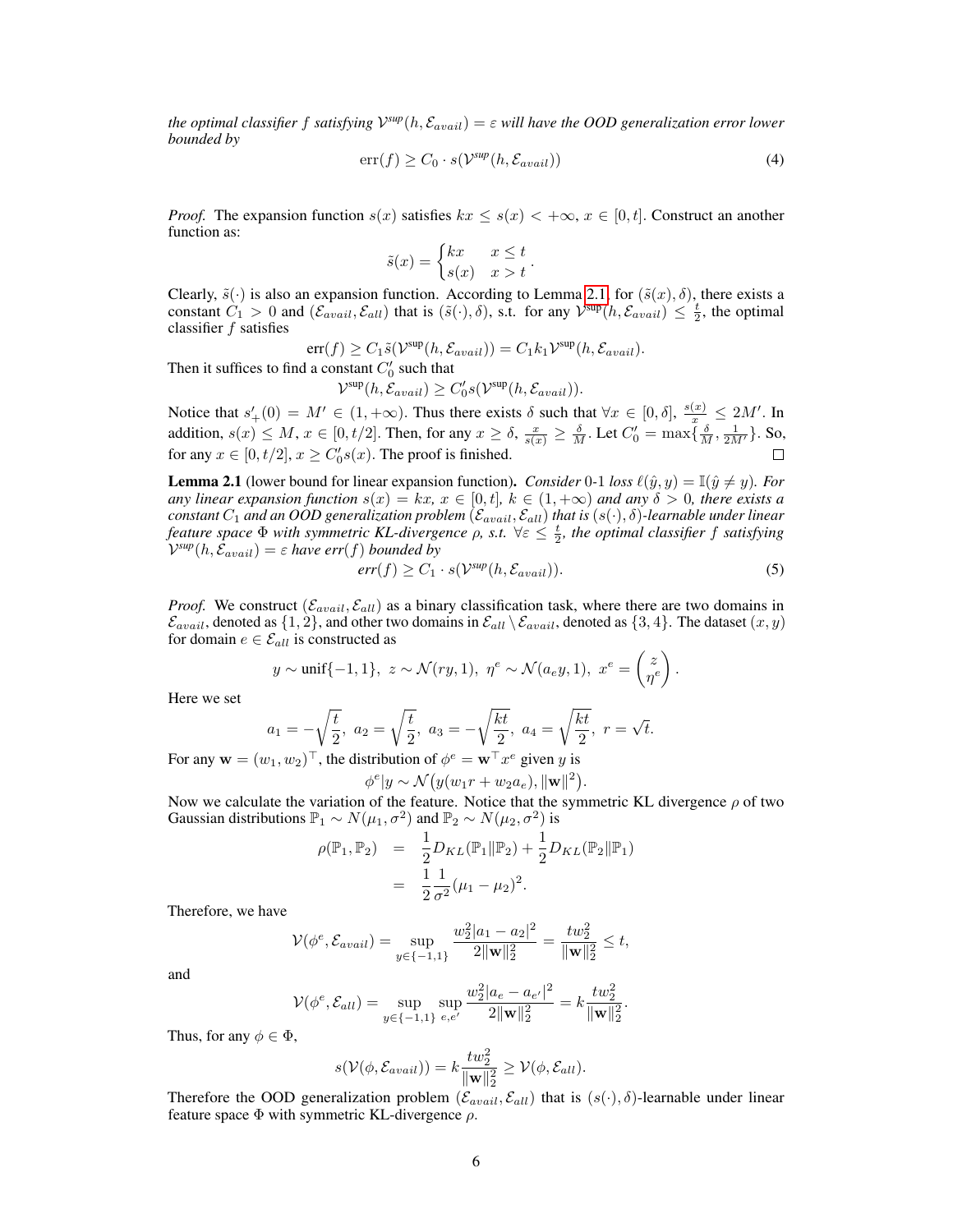*the optimal classifier f satisfying*  $\mathcal{V}^{sup}(h, \mathcal{E}_{avail}) = \varepsilon$  will have the OOD generalization error lower *bounded by*

$$
err(f) \ge C_0 \cdot s(\mathcal{V}^{sup}(h, \mathcal{E}_{avail}))
$$
\n(4)

*Proof.* The expansion function  $s(x)$  satisfies  $kx \leq s(x) < +\infty$ ,  $x \in [0, t]$ . Construct an another function as:

$$
\tilde{s}(x) = \begin{cases} kx & x \leq t \\ s(x) & x > t \end{cases}.
$$

Clearly,  $\tilde{s}(\cdot)$  is also an expansion function. According to Lemma [2.1,](#page-5-0) for  $(\tilde{s}(x), \delta)$ , there exists a constant  $\hat{C}_1 > 0$  and  $(\mathcal{E}_{avail}, \mathcal{E}_{all})$  that is  $(\tilde{s}(\cdot), \delta)$ , s.t. for any  $\mathcal{V}^{sup}(h, \mathcal{E}_{avail}) \leq \frac{t}{2}$ , the optimal classifier f satisfies

$$
err(f) \geq C_1 \tilde{s}(\mathcal{V}^{\text{sup}}(h, \mathcal{E}_{avail})) = C_1 k_1 \mathcal{V}^{\text{sup}}(h, \mathcal{E}_{avail}).
$$

Then it suffices to find a constant  $C'_0$  such that

$$
\mathcal{V}^{\text{sup}}(h, \mathcal{E}_{avail}) \ge C_0's(\mathcal{V}^{\text{sup}}(h, \mathcal{E}_{avail})).
$$

Notice that  $s'_{+}(0) = M' \in (1, +\infty)$ . Thus there exists  $\delta$  such that  $\forall x \in [0, \delta], \frac{s(x)}{x} \le 2M'$ . In addition,  $s(x) \le M$ ,  $x \in [0, t/2]$ . Then, for any  $x \ge \delta$ ,  $\frac{x}{s(x)} \ge \frac{\delta}{M}$ . Let  $C'_0 = \max\{\frac{\delta}{M}, \frac{1}{2M'}\}$ . So, for any  $x \in [0, t/2], x \ge C'_0 s(x)$ . The proof is finished.

<span id="page-5-0"></span>**Lemma 2.1** (lower bound for linear expansion function). *Consider* 0-1 *loss*  $\ell(\hat{y}, y) = \mathbb{I}(\hat{y} \neq y)$ *. For any linear expansion function*  $s(x) = kx$ ,  $x \in [0, t]$ ,  $k \in (1, +\infty)$  *and any*  $\delta > 0$ , *there exists a*  $\it constant\,C_1$  and an  $OOD$  generalization problem  $(\mathcal{E}_{avail},\mathcal{E}_{all})$  that is  $(s(\cdot),\delta)$ -learnable under linear *feature space*  $\Phi$  *with symmetric KL-divergence*  $\rho$ , *s.t.*  $\forall \varepsilon \leq \frac{t}{2}$ , the optimal classifier f satisfying  $\mathcal{V}^{sup}(h, \hat{\mathcal{E}}_{avail}) = \varepsilon$  have err(f) bounded by

<span id="page-5-1"></span>
$$
err(f) \ge C_1 \cdot s(\mathcal{V}^{sup}(h, \mathcal{E}_{avail})). \tag{5}
$$

*Proof.* We construct  $(\mathcal{E}_{avail}, \mathcal{E}_{all})$  as a binary classification task, where there are two domains in  $\mathcal{E}_{avail}$ , denoted as  $\{1,2\}$ , and other two domains in  $\mathcal{E}_{all} \setminus \mathcal{E}_{avail}$ , denoted as  $\{3,4\}$ . The dataset  $(x, y)$ for domain  $e \in \mathcal{E}_{all}$  is constructed as

$$
y \sim \text{unif}\{-1,1\}, \ z \sim \mathcal{N}(ry,1), \ \eta^e \sim \mathcal{N}(a_e y,1), \ x^e = \begin{pmatrix} z \\ \eta^e \end{pmatrix}.
$$

Here we set

$$
a_1 = -\sqrt{\frac{t}{2}}, \ a_2 = \sqrt{\frac{t}{2}}, \ a_3 = -\sqrt{\frac{kt}{2}}, \ a_4 = \sqrt{\frac{kt}{2}}, \ r = \sqrt{t}.
$$

For any  $\mathbf{w} = (w_1, w_2)^\top$ , the distribution of  $\phi^e = \mathbf{w}^\top x^e$  given y is

$$
\phi^e|y \sim \mathcal{N}\big(y(w_1r+w_2a_e), \|\mathbf{w}\|^2\big).
$$

Now we calculate the variation of the feature. Notice that the symmetric KL divergence  $\rho$  of two Gaussian distributions  $\mathbb{P}_1 \sim N(\mu_1, \sigma^2)$  and  $\mathbb{P}_2 \sim N(\mu_2, \sigma^2)$  is

$$
\rho(\mathbb{P}_1, \mathbb{P}_2) = \frac{1}{2} D_{KL}(\mathbb{P}_1 \| \mathbb{P}_2) + \frac{1}{2} D_{KL}(\mathbb{P}_2 \| \mathbb{P}_1)
$$
  
= 
$$
\frac{1}{2} \frac{1}{\sigma^2} (\mu_1 - \mu_2)^2.
$$

Therefore, we have

$$
\mathcal{V}(\phi^e, \mathcal{E}_{avail}) = \sup_{y \in \{-1, 1\}} \frac{w_2^2 |a_1 - a_2|^2}{2 \|\mathbf{w}\|_2^2} = \frac{t w_2^2}{\|\mathbf{w}\|_2^2} \le t,
$$

and

$$
\mathcal{V}(\phi^e, \mathcal{E}_{all}) = \sup_{y \in \{-1, 1\}} \sup_{e, e'} \frac{w_2^2 |a_e - a_{e'}|^2}{2 \|\mathbf{w}\|_2^2} = k \frac{t w_2^2}{\|\mathbf{w}\|_2^2}.
$$

Thus, for any  $\phi \in \Phi$ ,

$$
s(\mathcal{V}(\phi, \mathcal{E}_{avail})) = k \frac{t w_2^2}{\|\mathbf{w}\|_2^2} \ge \mathcal{V}(\phi, \mathcal{E}_{all}).
$$

Therefore the OOD generalization problem  $(\mathcal{E}_{avail}, \mathcal{E}_{all})$  that is  $(s(\cdot), \delta)$ -learnable under linear feature space  $\Phi$  with symmetric KL-divergence  $\rho$ .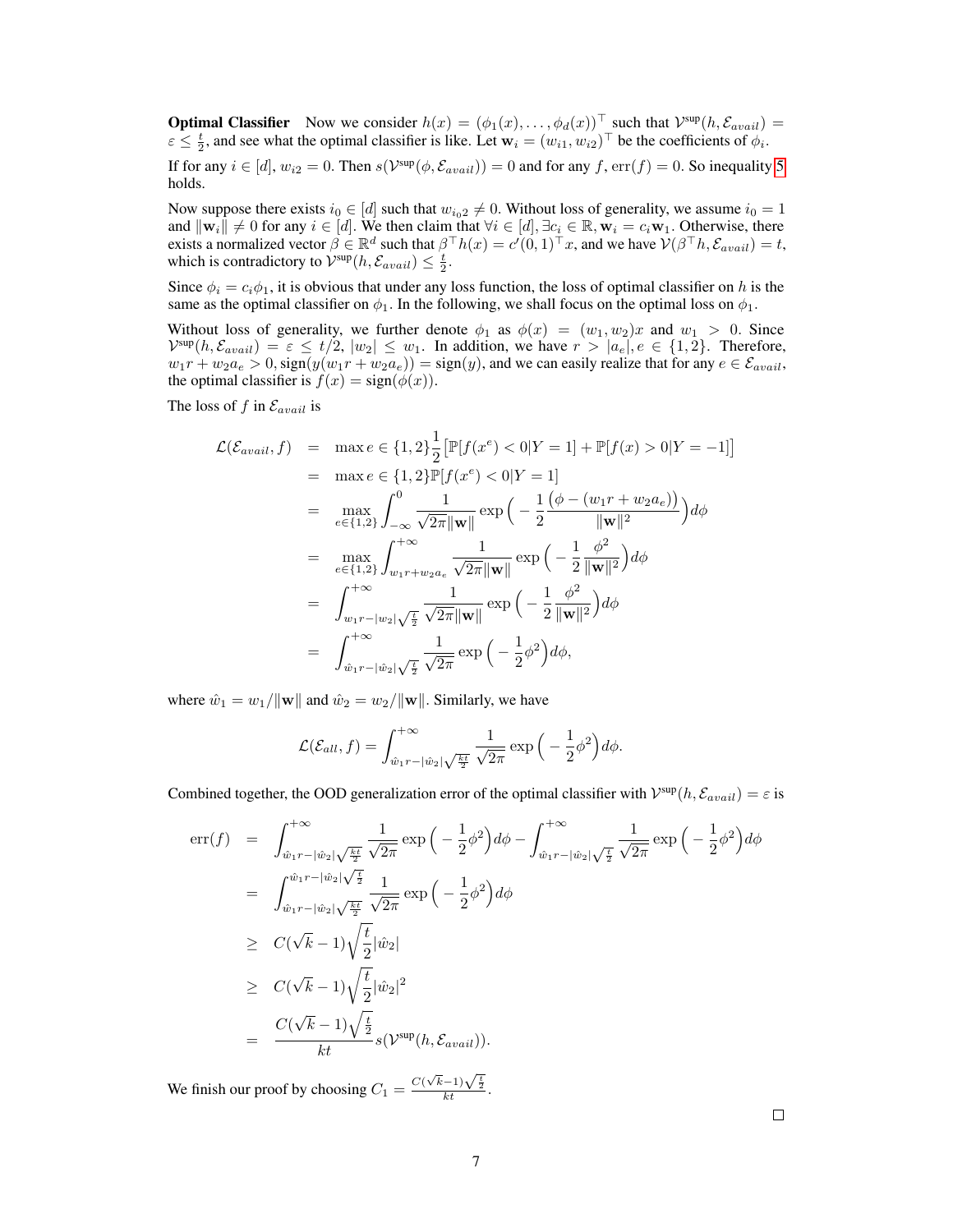**Optimal Classifier** Now we consider  $h(x) = (\phi_1(x), \dots, \phi_d(x))^{\top}$  such that  $\mathcal{V}^{\text{sup}}(h, \mathcal{E}_{avail}) =$  $\varepsilon \leq \frac{t}{2}$ , and see what the optimal classifier is like. Let  $\mathbf{w}_i = (w_{i1}, w_{i2})^\top$  be the coefficients of  $\phi_i$ .

If for any  $i \in [d]$ ,  $w_{i2} = 0$ . Then  $s(\mathcal{V}^{\text{sup}}(\phi, \mathcal{E}_{avail})) = 0$  and for any  $f$ ,  $err(f) = 0$ . So inequality [5](#page-5-1) holds.

Now suppose there exists  $i_0 \in [d]$  such that  $w_{i_0 2} \neq 0$ . Without loss of generality, we assume  $i_0 = 1$ and  $\|\mathbf{w}_i\| \neq 0$  for any  $i \in [d]$ . We then claim that  $\forall i \in [d], \exists c_i \in \mathbb{R}, \mathbf{w}_i = c_i \mathbf{w}_1$ . Otherwise, there exists a normalized vector  $\beta \in \mathbb{R}^d$  such that  $\beta^{\top} h(x) = c'(0,1)^{\top} x$ , and we have  $\mathcal{V}(\beta^{\top} h, \mathcal{E}_{avail}) = t$ , which is contradictory to  $\mathcal{V}^{\text{sup}}(h, \mathcal{E}_{avail}) \leq \frac{t}{2}$ .

Since  $\phi_i = c_i \phi_1$ , it is obvious that under any loss function, the loss of optimal classifier on h is the same as the optimal classifier on  $\phi_1$ . In the following, we shall focus on the optimal loss on  $\phi_1$ .

Without loss of generality, we further denote  $\phi_1$  as  $\phi(x) = (w_1, w_2)x$  and  $w_1 > 0$ . Since  $\mathcal{V}^{\text{sup}}(h, \mathcal{E}_{avail}) = \varepsilon \le t/2, |w_2| \le w_1$ . In addition, we have  $r > |a_e|, e \in \{1, 2\}$ . Therefore,  $w_1r + w_2a_e > 0$ ,  $sign(y(w_1r + w_2a_e)) = sign(y)$ , and we can easily realize that for any  $e \in \mathcal{E}_{avail}$ , the optimal classifier is  $f(x) = sign(\phi(x))$ .

The loss of  $f$  in  $\mathcal{E}_{avail}$  is

$$
\mathcal{L}(\mathcal{E}_{avail}, f) = \max e \in \{1, 2\} \frac{1}{2} [\mathbb{P}[f(x^e) < 0|Y = 1] + \mathbb{P}[f(x) > 0|Y = -1]]
$$
\n
$$
= \max e \in \{1, 2\} \mathbb{P}[f(x^e) < 0|Y = 1]
$$
\n
$$
= \max_{e \in \{1, 2\}} \int_{-\infty}^{0} \frac{1}{\sqrt{2\pi} \|\mathbf{w}\|} \exp\left(-\frac{1}{2} \frac{(\phi - (w_1 r + w_2 a_e))}{\|\mathbf{w}\|^2}\right) d\phi
$$
\n
$$
= \max_{e \in \{1, 2\}} \int_{w_1 r + w_2 a_e}^{+\infty} \frac{1}{\sqrt{2\pi} \|\mathbf{w}\|} \exp\left(-\frac{1}{2} \frac{\phi^2}{\|\mathbf{w}\|^2}\right) d\phi
$$
\n
$$
= \int_{w_1 r - |w_2| \sqrt{\frac{t}{2}}}^{+\infty} \frac{1}{\sqrt{2\pi} \|\mathbf{w}\|} \exp\left(-\frac{1}{2} \frac{\phi^2}{\|\mathbf{w}\|^2}\right) d\phi
$$
\n
$$
= \int_{\hat{w}_1 r - |\hat{w}_2| \sqrt{\frac{t}{2}}}^{\infty} \frac{1}{\sqrt{2\pi}} \exp\left(-\frac{1}{2} \phi^2\right) d\phi,
$$

where  $\hat{w}_1 = w_1 / ||\mathbf{w}||$  and  $\hat{w}_2 = w_2 / ||\mathbf{w}||$ . Similarly, we have

$$
\mathcal{L}(\mathcal{E}_{all}, f) = \int_{\hat{w}_1 r - |\hat{w}_2| \sqrt{\frac{k t}{2}}}^{+\infty} \frac{1}{\sqrt{2\pi}} \exp\left(-\frac{1}{2}\phi^2\right) d\phi.
$$

Combined together, the OOD generalization error of the optimal classifier with  $\mathcal{V}^{\text{sup}}(h, \mathcal{E}_{avail}) = \varepsilon$  is

$$
\begin{split}\n\text{err}(f) &= \int_{\hat{w}_1 r - |\hat{w}_2| \sqrt{\frac{kt}{2}}}^{\infty} \frac{1}{\sqrt{2\pi}} \exp\left(-\frac{1}{2}\phi^2\right) d\phi - \int_{\hat{w}_1 r - |\hat{w}_2| \sqrt{\frac{t}{2}}}^{\infty} \frac{1}{\sqrt{2\pi}} \exp\left(-\frac{1}{2}\phi^2\right) d\phi \\
&= \int_{\hat{w}_1 r - |\hat{w}_2| \sqrt{\frac{kt}{2}}}^{\hat{w}_1 r - |\hat{w}_2| \sqrt{\frac{kt}{2}}} \frac{1}{\sqrt{2\pi}} \exp\left(-\frac{1}{2}\phi^2\right) d\phi \\
&\geq C(\sqrt{k} - 1) \sqrt{\frac{t}{2}} |\hat{w}_2| \\
&\geq C(\sqrt{k} - 1) \sqrt{\frac{t}{2}} |\hat{w}_2|^2 \\
&= \frac{C(\sqrt{k} - 1) \sqrt{\frac{t}{2}}}{kt} s(\mathcal{V}^{\text{sup}}(h, \mathcal{E}_{avail})).\n\end{split}
$$

We finish our proof by choosing  $C_1 = \frac{C(\sqrt{k}-1)\sqrt{\frac{t}{2}}}{kt}$ .

 $\Box$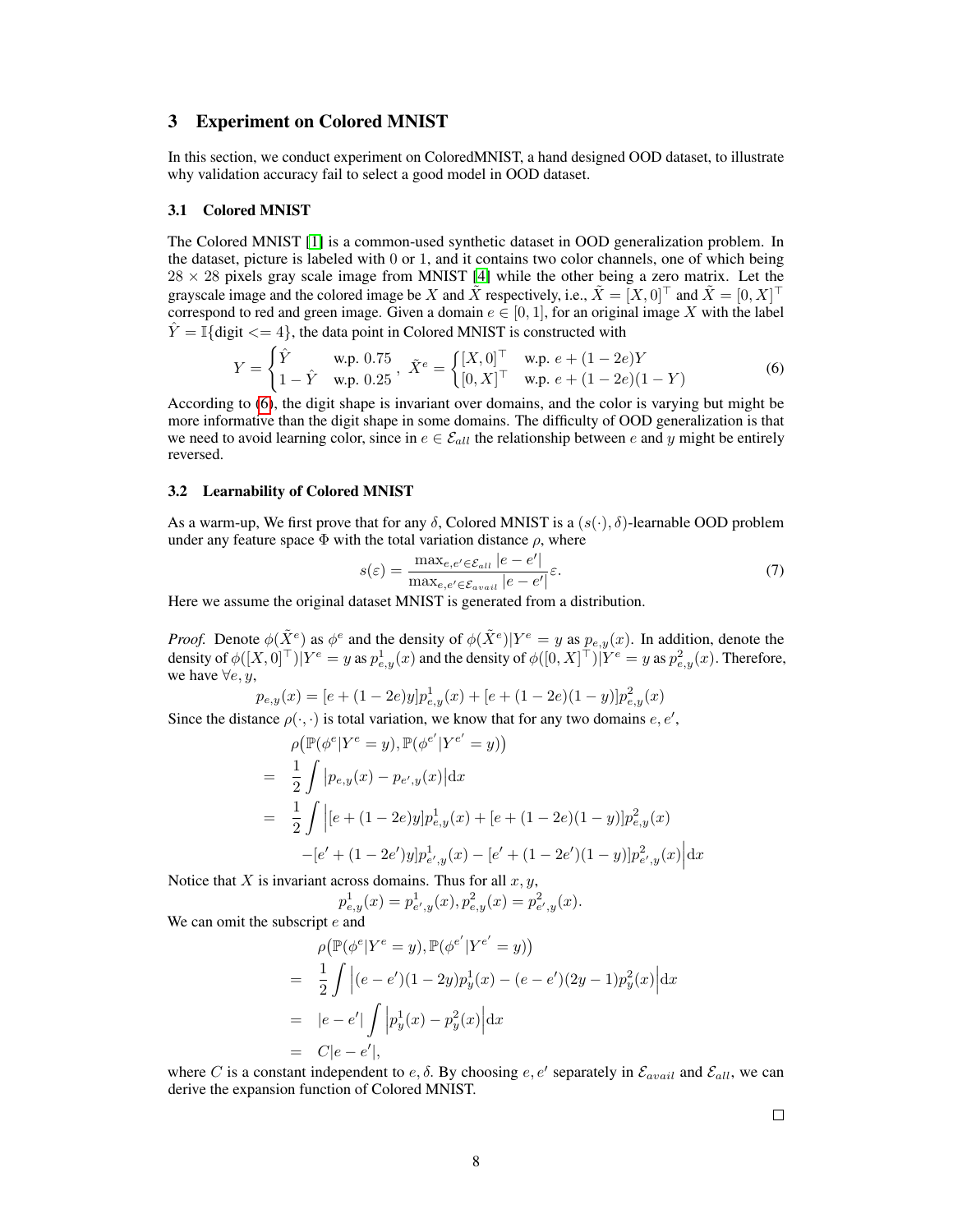# 3 Experiment on Colored MNIST

In this section, we conduct experiment on ColoredMNIST, a hand designed OOD dataset, to illustrate why validation accuracy fail to select a good model in OOD dataset.

#### 3.1 Colored MNIST

The Colored MNIST [\[1\]](#page-9-2) is a common-used synthetic dataset in OOD generalization problem. In the dataset, picture is labeled with  $0$  or 1, and it contains two color channels, one of which being  $28 \times 28$  pixels gray scale image from MNIST [\[4\]](#page-9-3) while the other being a zero matrix. Let the grayscale image and the colored image be X and  $\tilde{X}$  respectively, i.e.,  $\tilde{X} = [X, 0]^\top$  and  $\tilde{X} = [0, X]^\top$ correspond to red and green image. Given a domain  $e \in [0, 1]$ , for an original image X with the label  $\hat{Y} = \mathbb{I}\{\text{digit} \leq 4\},\$  the data point in Colored MNIST is constructed with

<span id="page-7-0"></span>
$$
Y = \begin{cases} \hat{Y} & \text{w.p. } 0.75 \\ 1 - \hat{Y} & \text{w.p. } 0.25 \end{cases}, \ \tilde{X}^e = \begin{cases} [X, 0]^\top & \text{w.p. } e + (1 - 2e)Y \\ [0, X]^\top & \text{w.p. } e + (1 - 2e)(1 - Y) \end{cases} \tag{6}
$$

According to [\(6\)](#page-7-0), the digit shape is invariant over domains, and the color is varying but might be more informative than the digit shape in some domains. The difficulty of OOD generalization is that we need to avoid learning color, since in  $e \in \mathcal{E}_{all}$  the relationship between e and y might be entirely reversed.

### 3.2 Learnability of Colored MNIST

As a warm-up, We first prove that for any  $\delta$ , Colored MNIST is a  $(s(\cdot), \delta)$ -learnable OOD problem under any feature space  $\Phi$  with the total variation distance  $\rho$ , where

$$
s(\varepsilon) = \frac{\max_{e,e' \in \mathcal{E}_{all}} |e - e'|}{\max_{e,e' \in \mathcal{E}_{avail}} |e - e'|} \varepsilon.
$$
\n(7)

Here we assume the original dataset MNIST is generated from a distribution.

*Proof.* Denote  $\phi(\tilde{X}^e)$  as  $\phi^e$  and the density of  $\phi(\tilde{X}^e)$ ) as  $\phi^e$  and the density of  $\phi(\tilde{X}^e)|Y^e = y$  as  $p_{e,y}(x)$ . In addition, denote the density of  $\phi([X,0]^{\top})|Y^e = y$  as  $p^1_{e,y}(x)$  and the density of  $\phi([0,X]^{\top})|Y^e = y$  as  $p^2_{e,y}(x)$ . Therefore, we have  $\forall e, y$ ,

$$
p_{e,y}(x) = [e + (1 - 2e)y]p_{e,y}^1(x) + [e + (1 - 2e)(1 - y)]p_{e,y}^2(x)
$$

Since the distance  $\rho(\cdot, \cdot)$  is total variation, we know that for any two domains  $e, e',$ 

$$
\rho(\mathbb{P}(\phi^e|Y^e = y), \mathbb{P}(\phi^{e'}|Y^{e'} = y))
$$
\n
$$
= \frac{1}{2} \int |p_{e,y}(x) - p_{e',y}(x)| dx
$$
\n
$$
= \frac{1}{2} \int |[e + (1 - 2e)y]p_{e,y}^1(x) + [e + (1 - 2e)(1 - y)]p_{e,y}^2(x)
$$
\n
$$
-[e' + (1 - 2e')y]p_{e',y}^1(x) - [e' + (1 - 2e')(1 - y)]p_{e',y}^2(x)| dx
$$

Notice that  $X$  is invariant across domains. Thus for all  $x, y$ ,

$$
p_{e,y}^1(x) = p_{e',y}^1(x), p_{e,y}^2(x) = p_{e',y}^2(x).
$$

We can omit the subscript  $e$  and

$$
\rho(\mathbb{P}(\phi^e|Y^e = y), \mathbb{P}(\phi^{e'}|Y^{e'} = y))
$$
\n
$$
= \frac{1}{2} \int |(e - e')(1 - 2y)p_y^1(x) - (e - e')(2y - 1)p_y^2(x)| dx
$$
\n
$$
= |e - e'| \int |p_y^1(x) - p_y^2(x)| dx
$$
\n
$$
= C|e - e'|,
$$

where C is a constant independent to  $e, \delta$ . By choosing  $e, e'$  separately in  $\mathcal{E}_{avail}$  and  $\mathcal{E}_{all}$ , we can derive the expansion function of Colored MNIST.

 $\Box$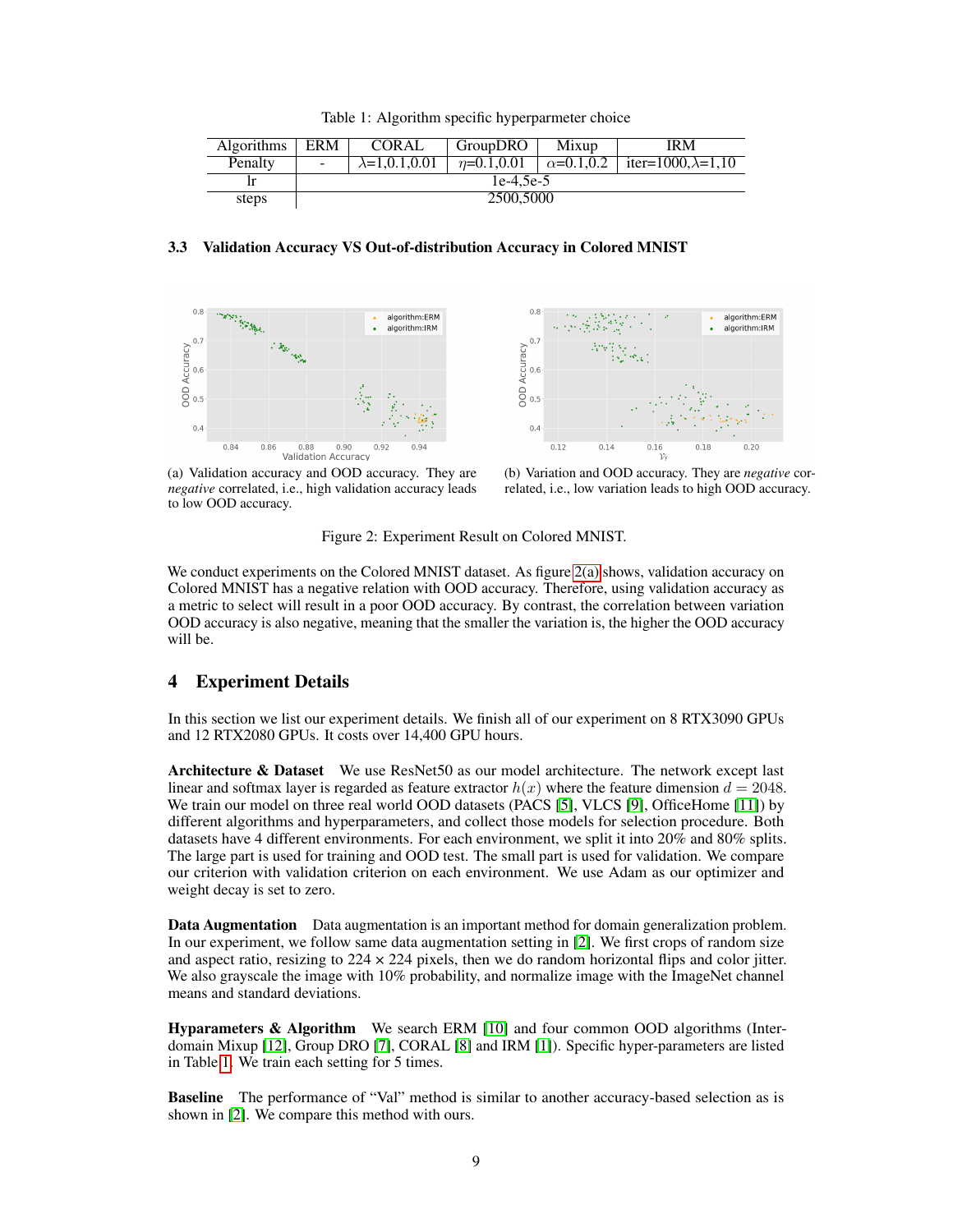<span id="page-8-1"></span>

|  | Table 1: Algorithm specific hyperparmeter choice |  |
|--|--------------------------------------------------|--|
|  |                                                  |  |

| <b>Algorithms</b> | ERM         | CORAL                  | <b>GroupDRO</b> | Mixup               | IRM                        |  |  |
|-------------------|-------------|------------------------|-----------------|---------------------|----------------------------|--|--|
| Penalty           |             | $\lambda = 1.0.1.0.01$ | $n=0.1, 0.01$   | $\alpha = 0.1, 0.2$ | iter=1000. $\lambda$ =1.10 |  |  |
| -lr               | $1e-4.5e-5$ |                        |                 |                     |                            |  |  |
| steps             | 2500,5000   |                        |                 |                     |                            |  |  |

## 3.3 Validation Accuracy VS Out-of-distribution Accuracy in Colored MNIST

<span id="page-8-0"></span>



(a) Validation accuracy and OOD accuracy. They are *negative* correlated, i.e., high validation accuracy leads to low OOD accuracy.

(b) Variation and OOD accuracy. They are *negative* correlated, i.e., low variation leads to high OOD accuracy.

Figure 2: Experiment Result on Colored MNIST.

We conduct experiments on the Colored MNIST dataset. As figure [2\(a\)](#page-8-0) shows, validation accuracy on Colored MNIST has a negative relation with OOD accuracy. Therefore, using validation accuracy as a metric to select will result in a poor OOD accuracy. By contrast, the correlation between variation OOD accuracy is also negative, meaning that the smaller the variation is, the higher the OOD accuracy will be.

## 4 Experiment Details

In this section we list our experiment details. We finish all of our experiment on 8 RTX3090 GPUs and 12 RTX2080 GPUs. It costs over 14,400 GPU hours.

Architecture & Dataset We use ResNet50 as our model architecture. The network except last linear and softmax layer is regarded as feature extractor  $h(x)$  where the feature dimension  $d = 2048$ . We train our model on three real world OOD datasets (PACS [\[5\]](#page-9-4), VLCS [\[9\]](#page-9-5), OfficeHome [\[11\]](#page-9-6)) by different algorithms and hyperparameters, and collect those models for selection procedure. Both datasets have 4 different environments. For each environment, we split it into 20% and 80% splits. The large part is used for training and OOD test. The small part is used for validation. We compare our criterion with validation criterion on each environment. We use Adam as our optimizer and weight decay is set to zero.

Data Augmentation Data augmentation is an important method for domain generalization problem. In our experiment, we follow same data augmentation setting in [\[2\]](#page-9-7). We first crops of random size and aspect ratio, resizing to  $224 \times 224$  pixels, then we do random horizontal flips and color jitter. We also grayscale the image with 10% probability, and normalize image with the ImageNet channel means and standard deviations.

Hyparameters & Algorithm We search ERM [\[10\]](#page-9-8) and four common OOD algorithms (Interdomain Mixup [\[12\]](#page-9-9), Group DRO [\[7\]](#page-9-10), CORAL [\[8\]](#page-9-11) and IRM [\[1\]](#page-9-2)). Specific hyper-parameters are listed in Table [1.](#page-8-1) We train each setting for 5 times.

Baseline The performance of "Val" method is similar to another accuracy-based selection as is shown in [\[2\]](#page-9-7). We compare this method with ours.